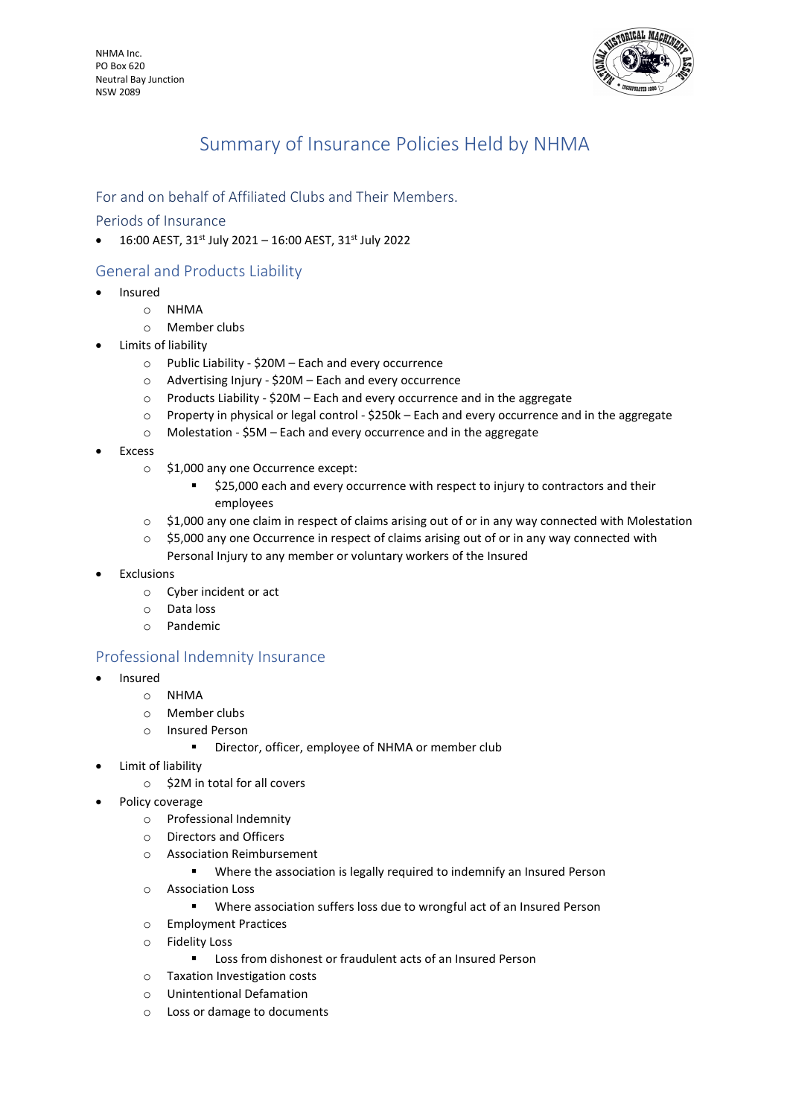NHMA Inc. PO Box 620 Neutral Bay Junction NSW 2089



# Summary of Insurance Policies Held by NHMA

## For and on behalf of Affiliated Clubs and Their Members.

### Periods of Insurance

 $\bullet$  16:00 AEST, 31st July 2021 - 16:00 AEST, 31st July 2022

# General and Products Liability

- Insured
	- o NHMA
	- o Member clubs
- Limits of liability
	- o Public Liability \$20M Each and every occurrence
	- o Advertising Injury \$20M Each and every occurrence
	- o Products Liability \$20M Each and every occurrence and in the aggregate
	- $\circ$  Property in physical or legal control \$250k Each and every occurrence and in the aggregate
	- o Molestation \$5M Each and every occurrence and in the aggregate
- Excess
	- o \$1,000 any one Occurrence except:
		- $\approx$  \$25,000 each and every occurrence with respect to injury to contractors and their employees
	- $\circ$  \$1,000 any one claim in respect of claims arising out of or in any way connected with Molestation
	- $\circ$  \$5,000 any one Occurrence in respect of claims arising out of or in any way connected with Personal Injury to any member or voluntary workers of the Insured
- Exclusions
	- o Cyber incident or act
	- o Data loss
	- o Pandemic

## Professional Indemnity Insurance

- Insured
	- o NHMA
	- o Member clubs
	- o Insured Person
		- **•** Director, officer, employee of NHMA or member club
- Limit of liability
	- o \$2M in total for all covers
- Policy coverage
	- o Professional Indemnity
	- o Directors and Officers
	- o Association Reimbursement
		- Where the association is legally required to indemnify an Insured Person
	- o Association Loss
		- Where association suffers loss due to wrongful act of an Insured Person
	- o Employment Practices
	- o Fidelity Loss
		- **Loss from dishonest or fraudulent acts of an Insured Person**
	- o Taxation Investigation costs
	- o Unintentional Defamation
	- o Loss or damage to documents